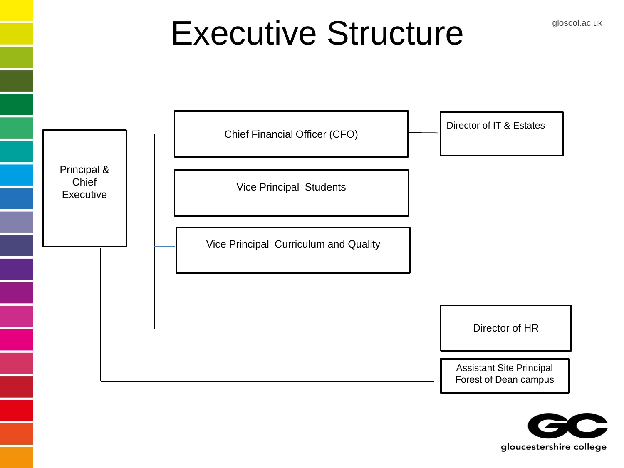## Executive Structure **Structure**



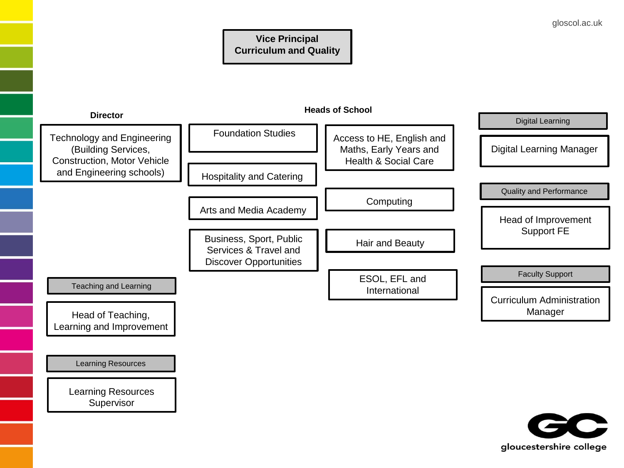

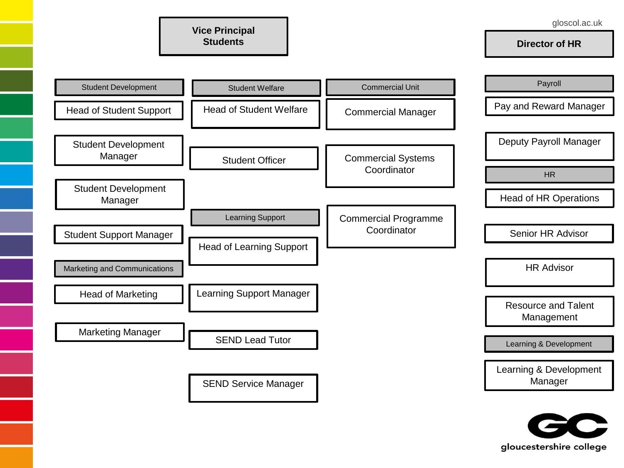**Director of HR**